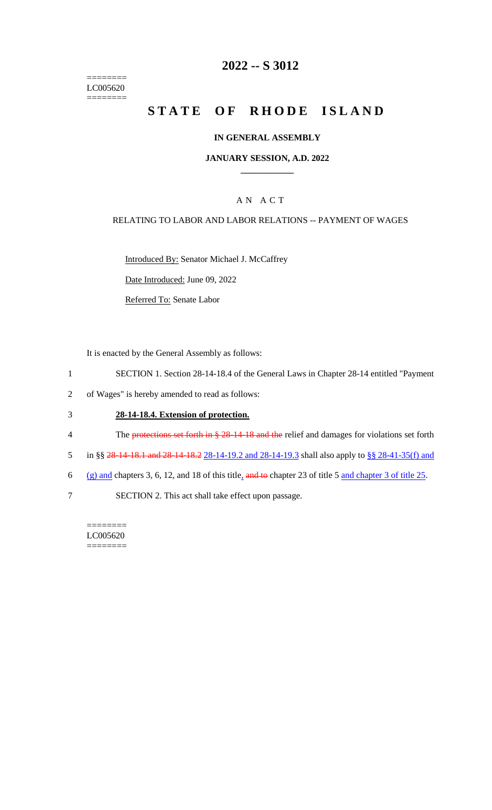======== LC005620  $=$ 

# **2022 -- S 3012**

# **STATE OF RHODE ISLAND**

#### **IN GENERAL ASSEMBLY**

#### **JANUARY SESSION, A.D. 2022 \_\_\_\_\_\_\_\_\_\_\_\_**

#### A N A C T

#### RELATING TO LABOR AND LABOR RELATIONS -- PAYMENT OF WAGES

Introduced By: Senator Michael J. McCaffrey

Date Introduced: June 09, 2022

Referred To: Senate Labor

It is enacted by the General Assembly as follows:

- 1 SECTION 1. Section 28-14-18.4 of the General Laws in Chapter 28-14 entitled "Payment
- 2 of Wages" is hereby amended to read as follows:

#### 3 **28-14-18.4. Extension of protection.**

- 4 The protections set forth in § 28-14-18 and the relief and damages for violations set forth
- 5 in §§ 28-14-18.1 and 28-14-18.2 28-14-19.2 and 28-14-19.3 shall also apply to §§ 28-41-35(f) and
- 6 (g) and chapters 3, 6, 12, and 18 of this title, and to chapter 23 of title 5 and chapter 3 of title 25.
- 7 SECTION 2. This act shall take effect upon passage.

======== LC005620 ========